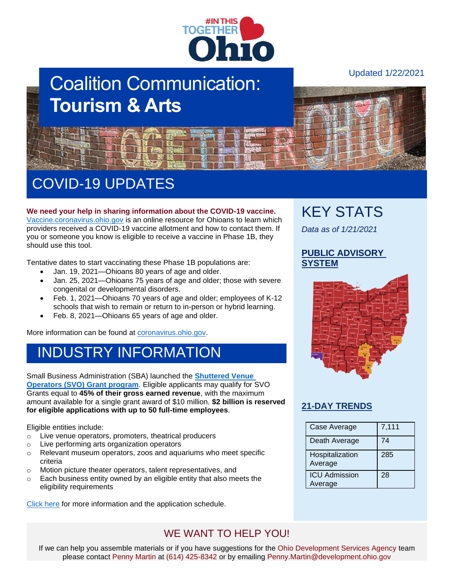

# Coalition Communication: **Tourism & Arts**

Updated 1/22/2021



# COVID-19 UPDATES

**We need your help in sharing information about the COVID-19 vaccine.** [Vaccine.coronavirus.ohio.gov](https://vaccine.coronavirus.ohio.gov/) is an online resource for Ohioans to learn which providers received a COVID-19 vaccine allotment and how to contact them. If you or someone you know is eligible to receive a vaccine in Phase 1B, they should use this tool.

Tentative dates to start vaccinating these Phase 1B populations are:

- Jan. 19, 2021—Ohioans 80 years of age and older.
- Jan. 25, 2021—Ohioans 75 years of age and older; those with severe congenital or developmental disorders.
- Feb. 1, 2021—Ohioans 70 years of age and older; employees of K-12 schools that wish to remain or return to in-person or hybrid learning.
- Feb. 8, 2021—Ohioans 65 years of age and older.

More information can be found at [coronavirus.ohio.gov.](https://coronavirus.ohio.gov/wps/portal/gov/covid-19/covid-19-vaccination-program)

### INDUSTRY INFORMATION

Small Business Administration (SBA) launched the **[Shuttered Venue](https://www.sba.gov/funding-programs/loans/coronavirus-relief-options/shuttered-venue-operators-grant#section-header-2)  [Operators \(SVO\) Grant program](https://www.sba.gov/funding-programs/loans/coronavirus-relief-options/shuttered-venue-operators-grant#section-header-2)**. Eligible applicants may qualify for SVO Grants equal to **45% of their gross earned revenue**, with the maximum amount available for a single grant award of \$10 million. **\$2 billion is reserved for eligible applications with up to 50 full-time employees**.

Eligible entities include:

- o Live venue operators, promoters, theatrical producers
- o Live performing arts organization operators
- o Relevant museum operators, zoos and aquariums who meet specific criteria
- o Motion picture theater operators, talent representatives, and
- o Each business entity owned by an eligible entity that also meets the eligibility requirements

[Click here](https://www.sba.gov/funding-programs/loans/coronavirus-relief-options/shuttered-venue-operators-grant) for more information and the application schedule.

WE WANT TO HELP YOU!

#### If we can help you assemble materials or if you have suggestions for the Ohio Development Services Agency team please contact Penny Martin at (614) 425-8342 or by emailing Penny.Martin@development.ohio.gov

## KEY STATS

*Data as of 1/21/2021*

#### **[PUBLIC ADVISORY](https://coronavirus.ohio.gov/wps/portal/gov/covid-19/public-health-advisory-system)  [SYSTEM](https://coronavirus.ohio.gov/wps/portal/gov/covid-19/public-health-advisory-system)**



#### **[21-DAY TRENDS](https://coronavirus.ohio.gov/wps/portal/gov/covid-19/dashboards/current-trends)**

| Case Average                    | 7,111 |
|---------------------------------|-------|
| Death Average                   | 74    |
| Hospitalization<br>Average      | 285   |
| <b>ICU Admission</b><br>Average | 28    |